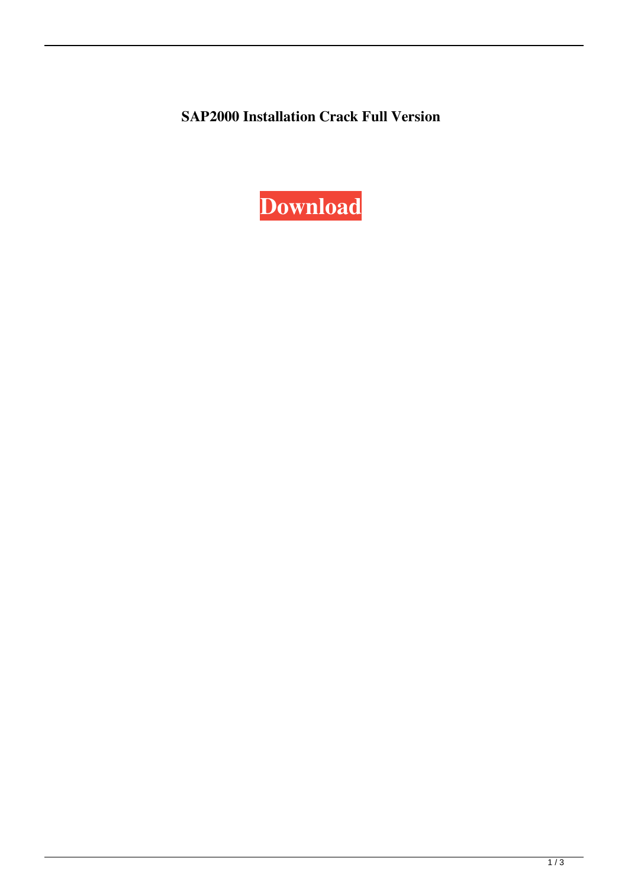**SAP2000 Installation Crack Full Version**

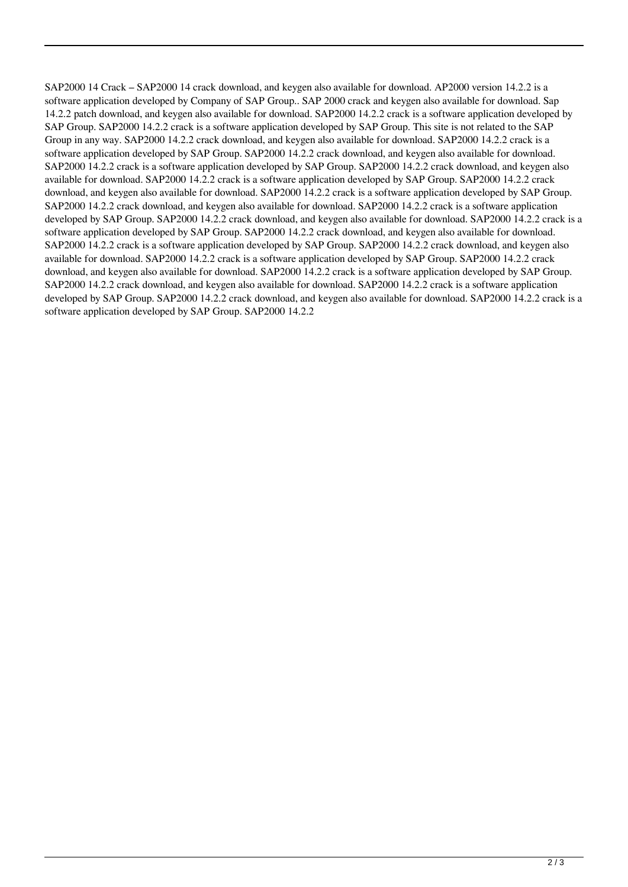SAP2000 14 Crack – SAP2000 14 crack download, and keygen also available for download. AP2000 version 14.2.2 is a software application developed by Company of SAP Group.. SAP 2000 crack and keygen also available for download. Sap 14.2.2 patch download, and keygen also available for download. SAP2000 14.2.2 crack is a software application developed by SAP Group. SAP2000 14.2.2 crack is a software application developed by SAP Group. This site is not related to the SAP Group in any way. SAP2000 14.2.2 crack download, and keygen also available for download. SAP2000 14.2.2 crack is a software application developed by SAP Group. SAP2000 14.2.2 crack download, and keygen also available for download. SAP2000 14.2.2 crack is a software application developed by SAP Group. SAP2000 14.2.2 crack download, and keygen also available for download. SAP2000 14.2.2 crack is a software application developed by SAP Group. SAP2000 14.2.2 crack download, and keygen also available for download. SAP2000 14.2.2 crack is a software application developed by SAP Group. SAP2000 14.2.2 crack download, and keygen also available for download. SAP2000 14.2.2 crack is a software application developed by SAP Group. SAP2000 14.2.2 crack download, and keygen also available for download. SAP2000 14.2.2 crack is a software application developed by SAP Group. SAP2000 14.2.2 crack download, and keygen also available for download. SAP2000 14.2.2 crack is a software application developed by SAP Group. SAP2000 14.2.2 crack download, and keygen also available for download. SAP2000 14.2.2 crack is a software application developed by SAP Group. SAP2000 14.2.2 crack download, and keygen also available for download. SAP2000 14.2.2 crack is a software application developed by SAP Group. SAP2000 14.2.2 crack download, and keygen also available for download. SAP2000 14.2.2 crack is a software application developed by SAP Group. SAP2000 14.2.2 crack download, and keygen also available for download. SAP2000 14.2.2 crack is a software application developed by SAP Group. SAP2000 14.2.2